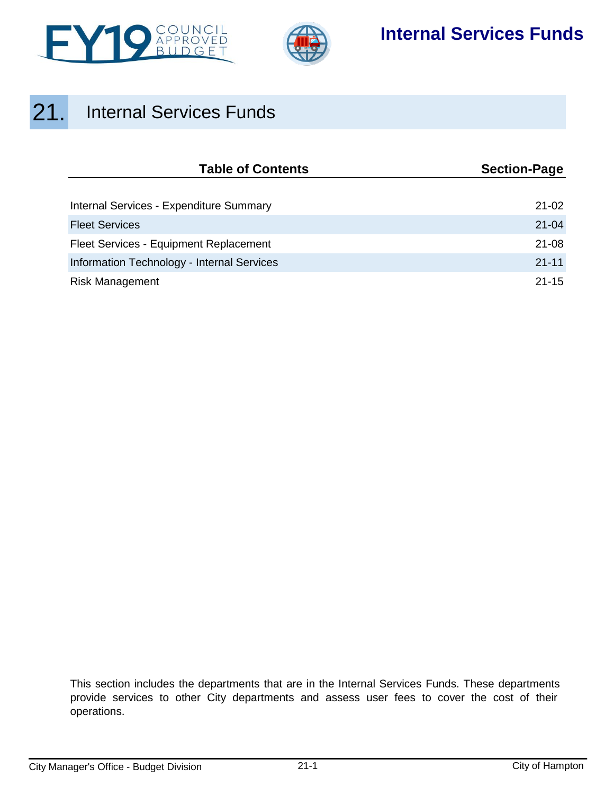



## **Internal Services Funds**

# 21. Internal Services Funds

| <b>Table of Contents</b>                   | <b>Section-Page</b> |  |  |
|--------------------------------------------|---------------------|--|--|
|                                            |                     |  |  |
| Internal Services - Expenditure Summary    | $21 - 02$           |  |  |
| <b>Fleet Services</b>                      | $21 - 04$           |  |  |
| Fleet Services - Equipment Replacement     | $21 - 08$           |  |  |
| Information Technology - Internal Services | $21 - 11$           |  |  |
| <b>Risk Management</b>                     | $21 - 15$           |  |  |

This section includes the departments that are in the Internal Services Funds. These departments provide services to other City departments and assess user fees to cover the cost of their operations.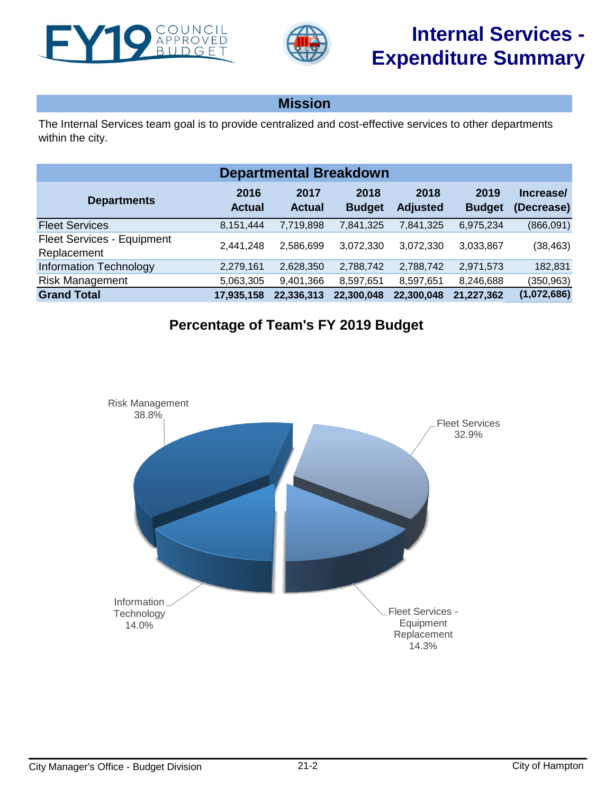<span id="page-1-0"></span>



## **Mission**

The Internal Services team goal is to provide centralized and cost-effective services to other departments within the city.

| <b>Departmental Breakdown</b>             |                       |                       |                       |                         |                       |                         |  |  |
|-------------------------------------------|-----------------------|-----------------------|-----------------------|-------------------------|-----------------------|-------------------------|--|--|
| <b>Departments</b>                        | 2016<br><b>Actual</b> | 2017<br><b>Actual</b> | 2018<br><b>Budget</b> | 2018<br><b>Adjusted</b> | 2019<br><b>Budget</b> | Increase/<br>(Decrease) |  |  |
| <b>Fleet Services</b>                     | 8,151,444             | 7,719,898             | 7,841,325             | 7,841,325               | 6,975,234             | (866,091)               |  |  |
| Fleet Services - Equipment<br>Replacement | 2.441.248             | 2.586.699             | 3,072,330             | 3,072,330               | 3,033,867             | (38, 463)               |  |  |
| <b>Information Technology</b>             | 2,279,161             | 2,628,350             | 2,788,742             | 2,788,742               | 2,971,573             | 182,831                 |  |  |
| <b>Risk Management</b>                    | 5,063,305             | 9,401,366             | 8,597,651             | 8,597,651               | 8,246,688             | (350, 963)              |  |  |
| <b>Grand Total</b>                        | 17,935,158            | 22,336,313            | 22,300,048            | 22,300,048              | 21,227,362            | (1,072,686)             |  |  |

## **Percentage of Team's FY 2019 Budget**

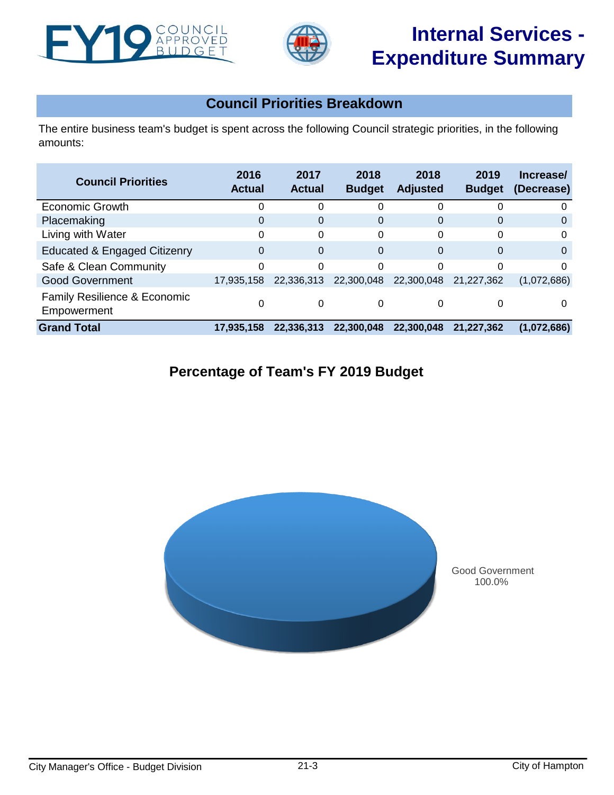



# **Internal Services - Expenditure Summary**

## **Council Priorities Breakdown**

The entire business team's budget is spent across the following Council strategic priorities, in the following amounts:

| <b>Council Priorities</b>                   | 2016<br><b>Actual</b> | 2017<br><b>Actual</b> | 2018<br><b>Budget</b> | 2018<br><b>Adjusted</b> | 2019<br><b>Budget</b> | Increase/<br>(Decrease) |
|---------------------------------------------|-----------------------|-----------------------|-----------------------|-------------------------|-----------------------|-------------------------|
| Economic Growth                             |                       | ∩                     | 0                     | 0                       |                       | 0                       |
| Placemaking                                 | 0                     | $\Omega$              | 0                     | $\Omega$                | $\Omega$              | 0                       |
| Living with Water                           | O                     | $\Omega$              | 0                     | 0                       | $\Omega$              | 0                       |
| <b>Educated &amp; Engaged Citizenry</b>     | $\Omega$              | $\Omega$              | 0                     | $\Omega$                | $\Omega$              | $\Omega$                |
| Safe & Clean Community                      | 0                     | $\Omega$              | 0                     | 0                       | $\Omega$              | $\Omega$                |
| <b>Good Government</b>                      | 17,935,158            | 22,336,313            | 22,300,048            | 22,300,048              | 21.227.362            | (1,072,686)             |
| Family Resilience & Economic<br>Empowerment |                       | 0                     | 0                     | 0                       |                       | 0                       |
| <b>Grand Total</b>                          | 17,935,158            | 22,336,313            | 22.300.048            | 22,300,048              | 21,227,362            | (1,072,686)             |

## **Percentage of Team's FY 2019 Budget**



Good Government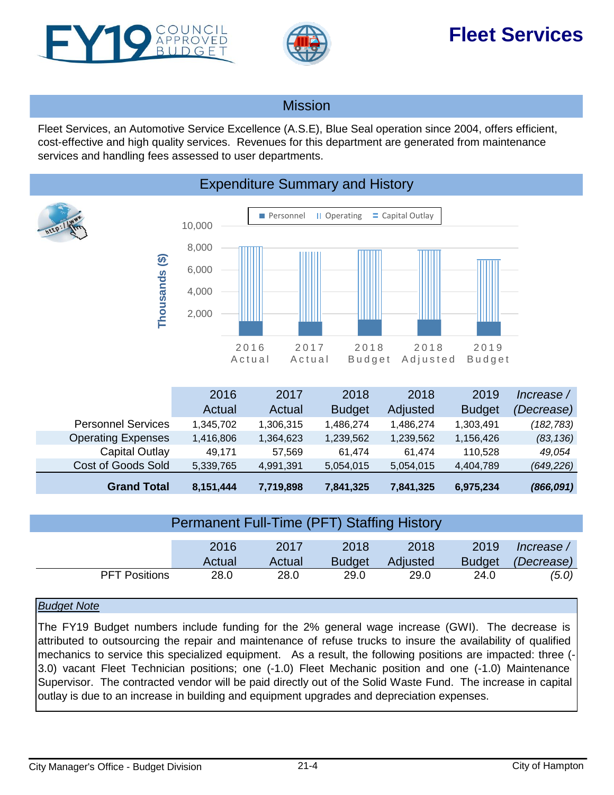<span id="page-3-0"></span>



# **Fleet Services**

### Mission

Fleet Services, an Automotive Service Excellence (A.S.E), Blue Seal operation since 2004, offers efficient, cost-effective and high quality services. Revenues for this department are generated from maintenance services and handling fees assessed to user departments.



| <b>Permanent Full-Time (PFT) Staffing History</b> |        |        |               |          |               |            |  |
|---------------------------------------------------|--------|--------|---------------|----------|---------------|------------|--|
|                                                   | 2016   | 2017   | 2018          | 2018     | 2019          | lncrease / |  |
|                                                   | Actual | Actual | <b>Budget</b> | Adjusted | <b>Budget</b> | (Decrease) |  |
| <b>PFT Positions</b>                              | 28.0   | 28.0   | 29.0          | 29.0     | 24.0          | (5.0)      |  |

### *Budget Note*

The FY19 Budget numbers include funding for the 2% general wage increase (GWI). The decrease is attributed to outsourcing the repair and maintenance of refuse trucks to insure the availability of qualified mechanics to service this specialized equipment. As a result, the following positions are impacted: three (-3.0) vacant Fleet Technician positions; one (-1.0) Fleet Mechanic position and one (-1.0) Maintenance Supervisor. The contracted vendor will be paid directly out of the Solid Waste Fund. The increase in capital outlay is due to an increase in building and equipment upgrades and depreciation expenses.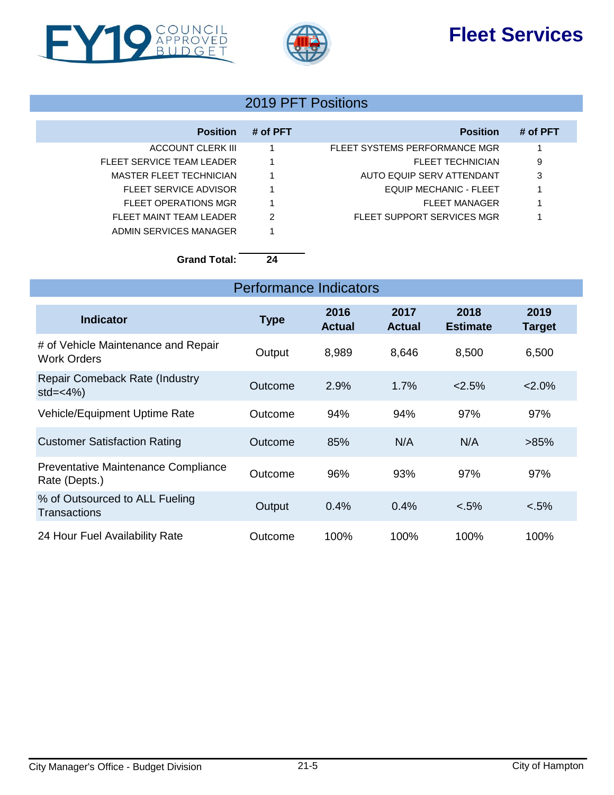# **Fleet Services**





### 2019 PFT Positions

| <b>Position</b>           | # of PFT | <b>Position</b>               | # of PFT |
|---------------------------|----------|-------------------------------|----------|
| ACCOUNT CLERK III         |          | FLEET SYSTEMS PERFORMANCE MGR |          |
| FLEET SERVICE TEAM LEADER |          | FLEET TECHNICIAN              | 9        |
| MASTER FLEET TECHNICIAN   |          | AUTO EQUIP SERV ATTENDANT     | 3        |
| FLEET SERVICE ADVISOR     |          | EQUIP MECHANIC - FLEET        |          |
| FLEET OPERATIONS MGR      |          | <b>FLEET MANAGER</b>          |          |
| FLEET MAINT TEAM LEADER   | 2        | FLEET SUPPORT SERVICES MGR    |          |
| ADMIN SERVICES MANAGER    |          |                               |          |

### **Grand Total: 24**

| <b>Performance Indicators</b>                             |             |                       |                       |                         |                       |  |  |
|-----------------------------------------------------------|-------------|-----------------------|-----------------------|-------------------------|-----------------------|--|--|
| <b>Indicator</b>                                          | <b>Type</b> | 2016<br><b>Actual</b> | 2017<br><b>Actual</b> | 2018<br><b>Estimate</b> | 2019<br><b>Target</b> |  |  |
| # of Vehicle Maintenance and Repair<br><b>Work Orders</b> | Output      | 8,989                 | 8,646                 | 8,500                   | 6,500                 |  |  |
| <b>Repair Comeback Rate (Industry</b><br>$std=<4\%$       | Outcome     | 2.9%                  | 1.7%                  | 2.5%                    | $2.0\%$               |  |  |
| Vehicle/Equipment Uptime Rate                             | Outcome     | 94%                   | 94%                   | 97%                     | 97%                   |  |  |
| <b>Customer Satisfaction Rating</b>                       | Outcome     | 85%                   | N/A                   | N/A                     | >85%                  |  |  |
| Preventative Maintenance Compliance<br>Rate (Depts.)      | Outcome     | 96%                   | 93%                   | 97%                     | 97%                   |  |  |
| % of Outsourced to ALL Fueling<br>Transactions            | Output      | 0.4%                  | 0.4%                  | $< .5\%$                | $< .5\%$              |  |  |
| 24 Hour Fuel Availability Rate                            | Outcome     | 100%                  | 100%                  | 100%                    | 100%                  |  |  |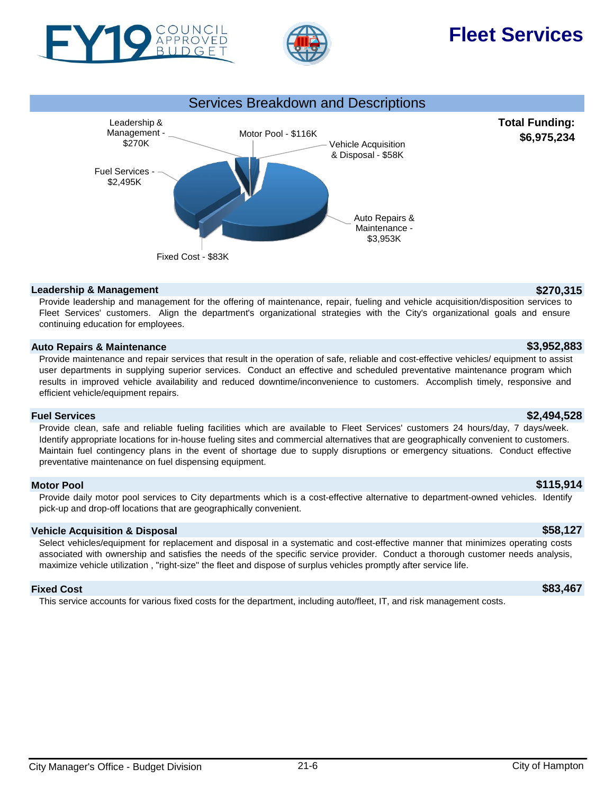

APPROVED



# **Fleet Services**

**Total Funding: \$6,975,234**



#### **Leadership & Management \$270,315**

Provide leadership and management for the offering of maintenance, repair, fueling and vehicle acquisition/disposition services to Fleet Services' customers. Align the department's organizational strategies with the City's organizational goals and ensure continuing education for employees.

### **Auto Repairs & Maintenance \$3,952,883**

Provide maintenance and repair services that result in the operation of safe, reliable and cost-effective vehicles/ equipment to assist user departments in supplying superior services. Conduct an effective and scheduled preventative maintenance program which results in improved vehicle availability and reduced downtime/inconvenience to customers. Accomplish timely, responsive and efficient vehicle/equipment repairs.

### **Fuel Services \$2,494,528**

Provide clean, safe and reliable fueling facilities which are available to Fleet Services' customers 24 hours/day, 7 days/week. Identify appropriate locations for in-house fueling sites and commercial alternatives that are geographically convenient to customers. Maintain fuel contingency plans in the event of shortage due to supply disruptions or emergency situations. Conduct effective preventative maintenance on fuel dispensing equipment.

### **Motor Pool \$115,914**

Provide daily motor pool services to City departments which is a cost-effective alternative to department-owned vehicles. Identify pick-up and drop-off locations that are geographically convenient.

### **Vehicle Acquisition & Disposal \$58,127**

Select vehicles/equipment for replacement and disposal in a systematic and cost-effective manner that minimizes operating costs associated with ownership and satisfies the needs of the specific service provider. Conduct a thorough customer needs analysis, maximize vehicle utilization , "right-size" the fleet and dispose of surplus vehicles promptly after service life.

### **Fixed Cost \$83,467**

This service accounts for various fixed costs for the department, including auto/fleet, IT, and risk management costs.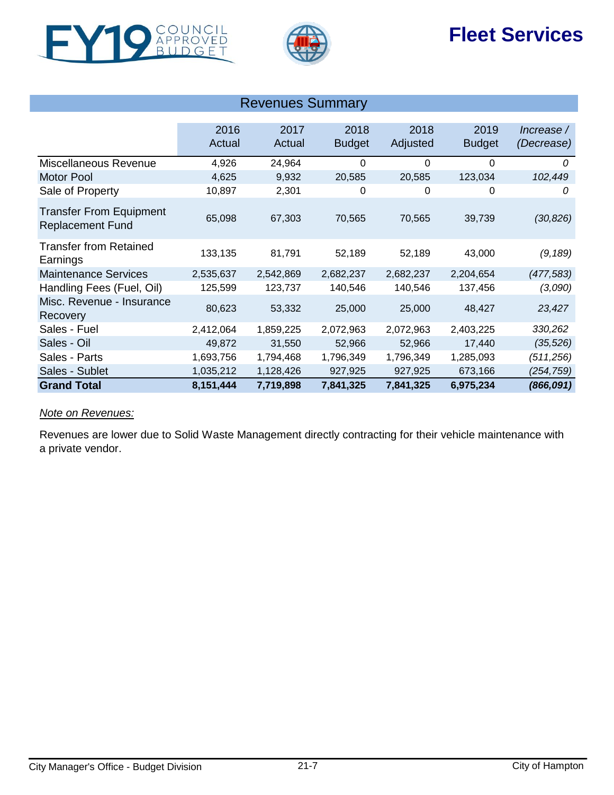





| <b>Revenues Summary</b>                                   |                |                |                       |                  |                       |                          |  |
|-----------------------------------------------------------|----------------|----------------|-----------------------|------------------|-----------------------|--------------------------|--|
|                                                           | 2016<br>Actual | 2017<br>Actual | 2018<br><b>Budget</b> | 2018<br>Adjusted | 2019<br><b>Budget</b> | Increase /<br>(Decrease) |  |
| Miscellaneous Revenue                                     | 4,926          | 24,964         | 0                     | $\Omega$         | $\Omega$              | 0                        |  |
| <b>Motor Pool</b>                                         | 4,625          | 9,932          | 20,585                | 20,585           | 123,034               | 102,449                  |  |
| Sale of Property                                          | 10,897         | 2,301          | 0                     | 0                | 0                     | 0                        |  |
| <b>Transfer From Equipment</b><br><b>Replacement Fund</b> | 65,098         | 67,303         | 70,565                | 70,565           | 39,739                | (30, 826)                |  |
| <b>Transfer from Retained</b><br>Earnings                 | 133,135        | 81,791         | 52,189                | 52,189           | 43,000                | (9, 189)                 |  |
| <b>Maintenance Services</b>                               | 2,535,637      | 2,542,869      | 2,682,237             | 2,682,237        | 2,204,654             | (477, 583)               |  |
| Handling Fees (Fuel, Oil)                                 | 125,599        | 123,737        | 140,546               | 140,546          | 137,456               | (3,090)                  |  |
| Misc. Revenue - Insurance<br>Recovery                     | 80,623         | 53,332         | 25,000                | 25,000           | 48,427                | 23,427                   |  |
| Sales - Fuel                                              | 2,412,064      | 1,859,225      | 2,072,963             | 2,072,963        | 2,403,225             | 330,262                  |  |
| Sales - Oil                                               | 49,872         | 31,550         | 52,966                | 52,966           | 17,440                | (35, 526)                |  |
| Sales - Parts                                             | 1,693,756      | 1,794,468      | 1,796,349             | 1,796,349        | 1,285,093             | (511, 256)               |  |
| Sales - Sublet                                            | 1,035,212      | 1,128,426      | 927,925               | 927,925          | 673,166               | (254,759)                |  |
| <b>Grand Total</b>                                        | 8,151,444      | 7,719,898      | 7,841,325             | 7,841,325        | 6,975,234             | (866, 091)               |  |

### *Note on Revenues:*

Revenues are lower due to Solid Waste Management directly contracting for their vehicle maintenance with a private vendor.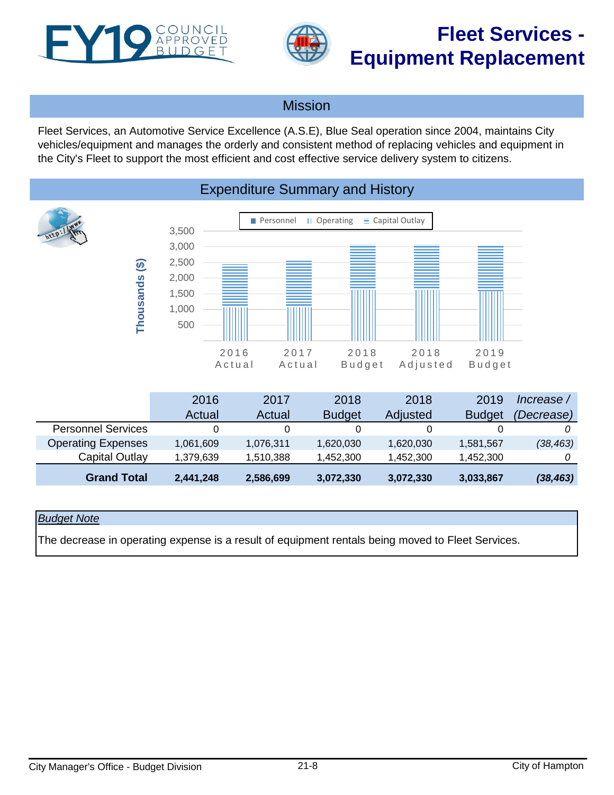<span id="page-7-0"></span>



# **Fleet Services - Equipment Replacement**

### Mission

Fleet Services, an Automotive Service Excellence (A.S.E), Blue Seal operation since 2004, maintains City vehicles/equipment and manages the orderly and consistent method of replacing vehicles and equipment in the City's Fleet to support the most efficient and cost effective service delivery system to citizens.



#### 2016 Actual 2017 Actual 2018 **Budget** 2018 Adjusted 2019 **Budget** *Increase / (Decrease)* Personnel Services 0 0 0 0 0 *0* Operating Expenses 1,061,609 1,076,311 1,620,030 1,620,030 1,581,567 *(38,463)* Capital Outlay 1,379,639 1,510,388 1,452,300 1,452,300 1,452,300 *0* **Grand Total 2,441,248 2,586,699 3,072,330 3,072,330 3,033,867** *(38,463)*

### *Budget Note*

The decrease in operating expense is a result of equipment rentals being moved to Fleet Services.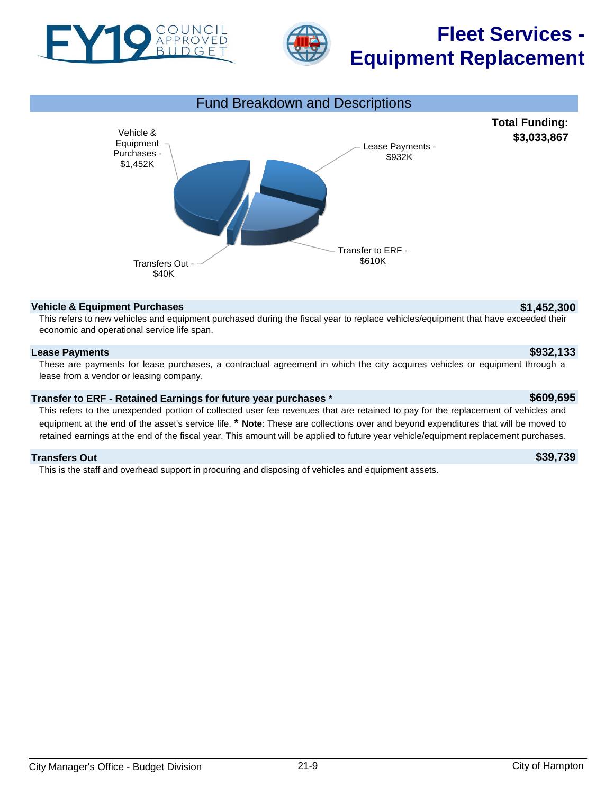



# **Fleet Services - Equipment Replacement**



#### **Vehicle & Equipment Purchases \$1,452,300**

This refers to new vehicles and equipment purchased during the fiscal year to replace vehicles/equipment that have exceeded their economic and operational service life span.

### **Lease Payments \$932,133**

These are payments for lease purchases, a contractual agreement in which the city acquires vehicles or equipment through a lease from a vendor or leasing company.

#### **Transfer to ERF - Retained Earnings for future year purchases \* \$609,695**

This refers to the unexpended portion of collected user fee revenues that are retained to pay for the replacement of vehicles and equipment at the end of the asset's service life. **\* Note**: These are collections over and beyond expenditures that will be moved to retained earnings at the end of the fiscal year. This amount will be applied to future year vehicle/equipment replacement purchases.

#### **Transfers Out \$39,739**

This is the staff and overhead support in procuring and disposing of vehicles and equipment assets.

**Total Funding: \$3,033,867**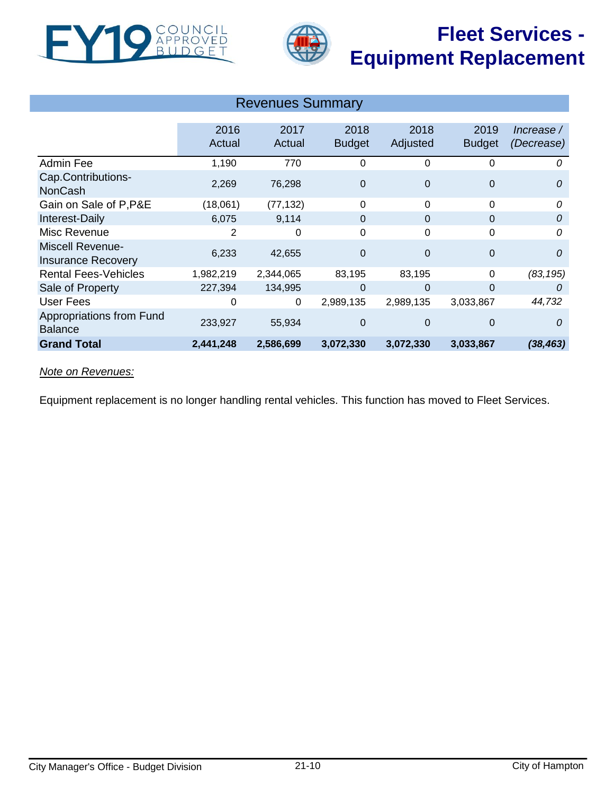



# **Fleet Services - Equipment Replacement**

| <b>Revenues Summary</b>                              |                |                |                       |                  |                       |                          |  |
|------------------------------------------------------|----------------|----------------|-----------------------|------------------|-----------------------|--------------------------|--|
|                                                      | 2016<br>Actual | 2017<br>Actual | 2018<br><b>Budget</b> | 2018<br>Adjusted | 2019<br><b>Budget</b> | Increase /<br>(Decrease) |  |
| Admin Fee                                            | 1,190          | 770            | 0                     | 0                | 0                     | 0                        |  |
| Cap.Contributions-<br><b>NonCash</b>                 | 2,269          | 76,298         | $\mathbf 0$           | $\mathbf 0$      | $\boldsymbol{0}$      | 0                        |  |
| Gain on Sale of P, P&E                               | (18,061)       | (77, 132)      | $\Omega$              | $\Omega$         | 0                     | 0                        |  |
| Interest-Daily                                       | 6,075          | 9,114          | $\mathbf{0}$          | $\Omega$         | $\mathbf{0}$          | 0                        |  |
| Misc Revenue                                         | 2              | 0              | $\mathbf 0$           | 0                | 0                     | 0                        |  |
| <b>Miscell Revenue-</b><br><b>Insurance Recovery</b> | 6,233          | 42,655         | $\mathbf 0$           | $\Omega$         | $\boldsymbol{0}$      | $\mathcal{O}$            |  |
| <b>Rental Fees-Vehicles</b>                          | 1,982,219      | 2,344,065      | 83,195                | 83,195           | 0                     | (83, 195)                |  |
| Sale of Property                                     | 227,394        | 134,995        | $\Omega$              | $\Omega$         | $\Omega$              | 0                        |  |
| <b>User Fees</b>                                     | 0              | 0              | 2,989,135             | 2,989,135        | 3,033,867             | 44,732                   |  |
| Appropriations from Fund<br><b>Balance</b>           | 233,927        | 55,934         | $\mathbf 0$           | $\Omega$         | $\mathbf{0}$          | $\theta$                 |  |
| <b>Grand Total</b>                                   | 2,441,248      | 2,586,699      | 3,072,330             | 3,072,330        | 3,033,867             | (38, 463)                |  |

### *Note on Revenues:*

Equipment replacement is no longer handling rental vehicles. This function has moved to Fleet Services.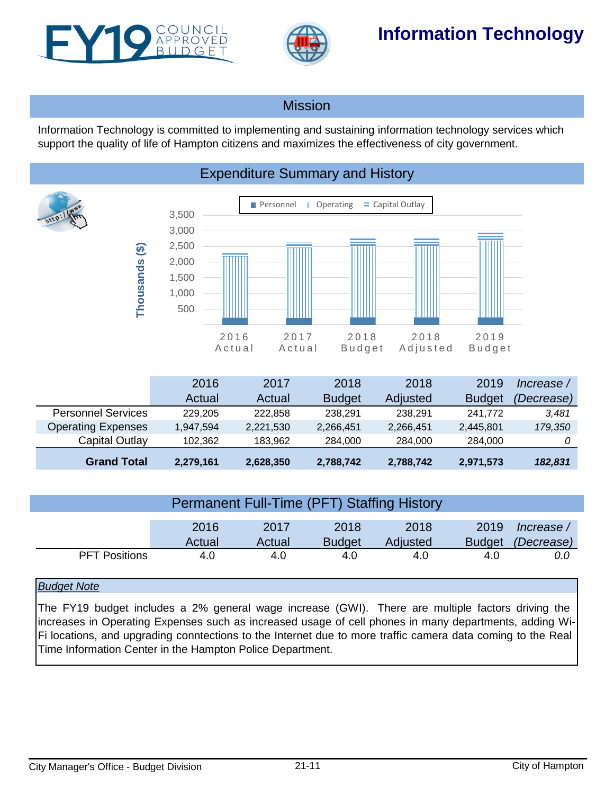<span id="page-10-0"></span>



## **Information Technology**

### Mission

Information Technology is committed to implementing and sustaining information technology services which support the quality of life of Hampton citizens and maximizes the effectiveness of city government.



|  |  | <b>Expenditure Summary and History</b> |
|--|--|----------------------------------------|
|--|--|----------------------------------------|

|                           | 2016      | 2017      | 2018          | 2018      | 2019          | Increase / |
|---------------------------|-----------|-----------|---------------|-----------|---------------|------------|
|                           | Actual    | Actual    | <b>Budget</b> | Adjusted  | <b>Budget</b> | (Decrease) |
| <b>Personnel Services</b> | 229.205   | 222.858   | 238.291       | 238.291   | 241.772       | 3,481      |
| <b>Operating Expenses</b> | 1,947,594 | 2,221,530 | 2,266,451     | 2,266,451 | 2,445,801     | 179,350    |
| Capital Outlay            | 102.362   | 183.962   | 284.000       | 284.000   | 284,000       |            |
| <b>Grand Total</b>        | 2,279,161 | 2,628,350 | 2,788,742     | 2,788,742 | 2,971,573     | 182,831    |

| <b>Permanent Full-Time (PFT) Staffing History</b> |        |        |               |          |      |                          |  |
|---------------------------------------------------|--------|--------|---------------|----------|------|--------------------------|--|
|                                                   | 2016   | 2017   | 2018          | 2018     | 2019 | / Increase               |  |
|                                                   | Actual | Actual | <b>Budget</b> | Adjusted |      | Budget <i>(Decrease)</i> |  |
| <b>PFT Positions</b>                              | 4.0    | 4.0    | 4.0           | 4.0      | 4.0  | 0.0                      |  |

### *Budget Note*

The FY19 budget includes a 2% general wage increase (GWI). There are multiple factors driving the increases in Operating Expenses such as increased usage of cell phones in many departments, adding Wi-Fi locations, and upgrading conntections to the Internet due to more traffic camera data coming to the Real Time Information Center in the Hampton Police Department.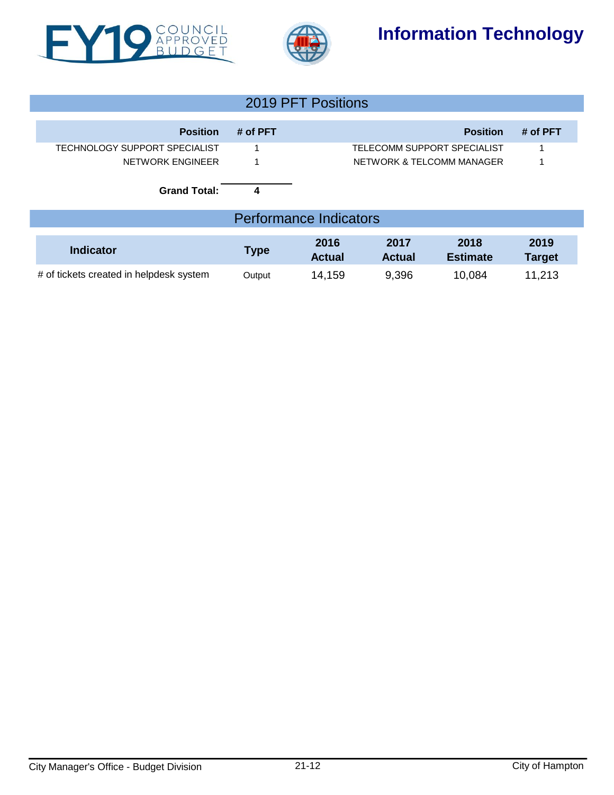



## **Information Technology**

| 2019 PFT Positions                   |          |                             |          |  |  |  |
|--------------------------------------|----------|-----------------------------|----------|--|--|--|
| <b>Position</b>                      | # of PFT | <b>Position</b>             | # of PFT |  |  |  |
| <b>TECHNOLOGY SUPPORT SPECIALIST</b> |          | TELECOMM SUPPORT SPECIALIST |          |  |  |  |
| NETWORK ENGINEER                     |          | NETWORK & TELCOMM MANAGER   |          |  |  |  |
| <b>Grand Total:</b>                  | 4        |                             |          |  |  |  |
| <b>Performance Indicators</b>        |          |                             |          |  |  |  |

| Indicator                               | <b>Type</b> | 2016<br><b>Actual</b> | 2017<br><b>Actual</b> | 2018<br><b>Estimate</b> | 2019<br>Target |
|-----------------------------------------|-------------|-----------------------|-----------------------|-------------------------|----------------|
| # of tickets created in helpdesk system | Output      | 14,159                | 9,396                 | 10,084                  | 11,213         |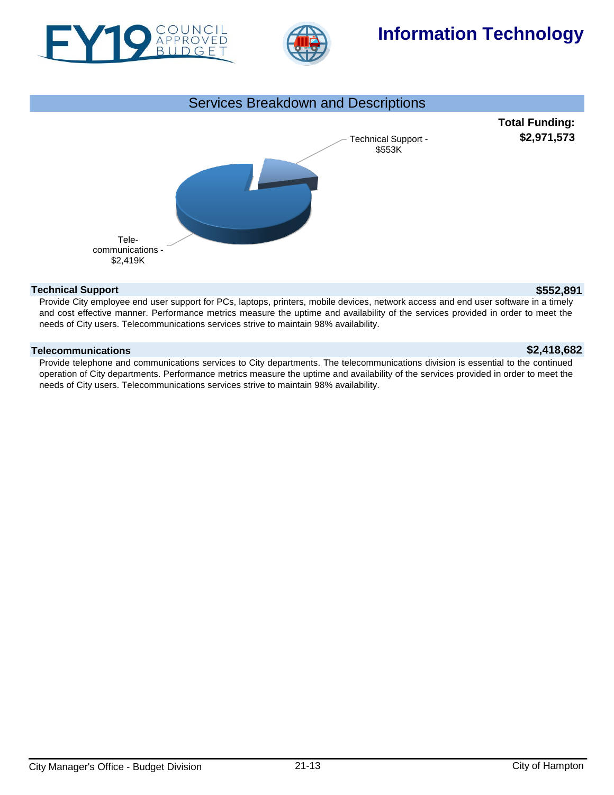



## **Information Technology**

# **Total Funding: \$2,971,573** Services Breakdown and Descriptions Technical Support - \$553K Telecommunications - \$2,419K

### **Technical Support \$552,891**

Provide City employee end user support for PCs, laptops, printers, mobile devices, network access and end user software in a timely and cost effective manner. Performance metrics measure the uptime and availability of the services provided in order to meet the needs of City users. Telecommunications services strive to maintain 98% availability.

#### **Telecommunications \$2,418,682**

Provide telephone and communications services to City departments. The telecommunications division is essential to the continued operation of City departments. Performance metrics measure the uptime and availability of the services provided in order to meet the needs of City users. Telecommunications services strive to maintain 98% availability.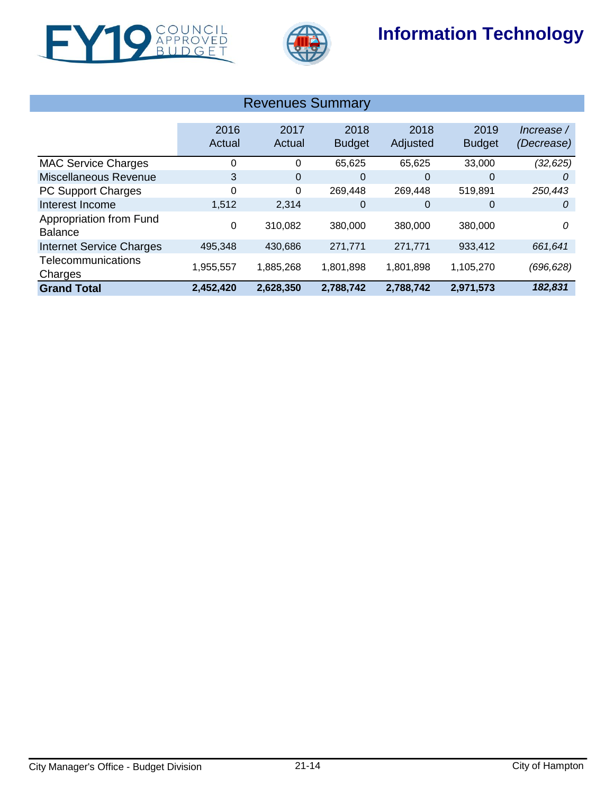

l.



## **Information Technology**

| <b>Revenues Summary</b>                   |                |                |                       |                  |                       |                          |  |  |
|-------------------------------------------|----------------|----------------|-----------------------|------------------|-----------------------|--------------------------|--|--|
|                                           | 2016<br>Actual | 2017<br>Actual | 2018<br><b>Budget</b> | 2018<br>Adjusted | 2019<br><b>Budget</b> | Increase /<br>(Decrease) |  |  |
| <b>MAC Service Charges</b>                |                | 0              | 65,625                | 65,625           | 33,000                | (32, 625)                |  |  |
| Miscellaneous Revenue                     | 3              | $\overline{0}$ | 0                     | 0                | 0                     | 0                        |  |  |
| <b>PC Support Charges</b>                 | 0              | 0              | 269,448               | 269,448          | 519,891               | 250,443                  |  |  |
| Interest Income                           | 1,512          | 2,314          | 0                     | 0                | 0                     | 0                        |  |  |
| Appropriation from Fund<br><b>Balance</b> | 0              | 310,082        | 380,000               | 380,000          | 380,000               | 0                        |  |  |
| <b>Internet Service Charges</b>           | 495,348        | 430,686        | 271,771               | 271,771          | 933,412               | 661,641                  |  |  |
| Telecommunications<br>Charges             | 1,955,557      | 1,885,268      | 1,801,898             | 1,801,898        | 1,105,270             | (696, 628)               |  |  |
| <b>Grand Total</b>                        | 2,452,420      | 2,628,350      | 2,788,742             | 2,788,742        | 2,971,573             | 182,831                  |  |  |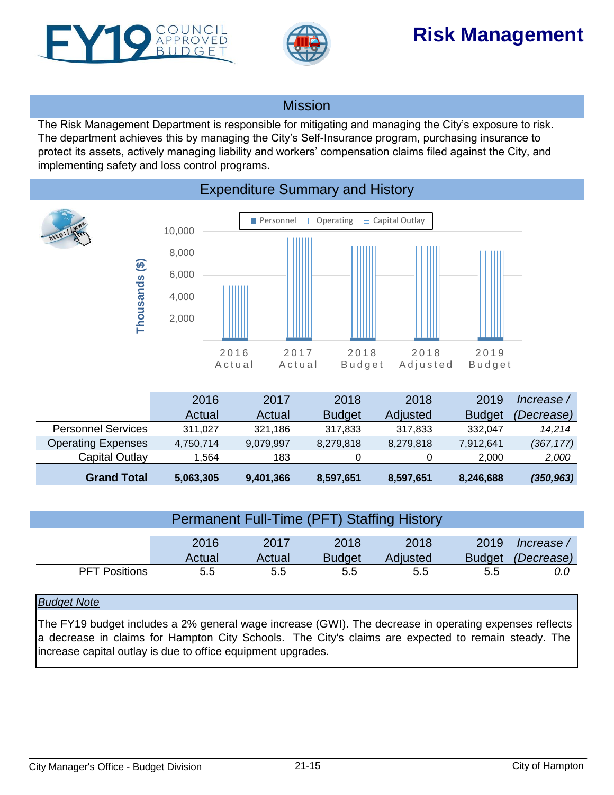<span id="page-14-0"></span>



# **Risk Management**

### Mission

The Risk Management Department is responsible for mitigating and managing the City's exposure to risk. The department achieves this by managing the City's Self-Insurance program, purchasing insurance to protect its assets, actively managing liability and workers' compensation claims filed against the City, and implementing safety and loss control programs.



| <b>Permanent Full-Time (PFT) Staffing History</b> |                |                |                       |                  |                       |                          |  |
|---------------------------------------------------|----------------|----------------|-----------------------|------------------|-----------------------|--------------------------|--|
|                                                   | 2016<br>Actual | 2017<br>Actual | 2018<br><b>Budget</b> | 2018<br>Adjusted | 2019<br><b>Budget</b> | Increase /<br>(Decrease) |  |
| <b>PFT Positions</b>                              | 5.5            | 5.5            | 5.5                   | 5.5              | 5.5                   | 0.0                      |  |

### *Budget Note*

The FY19 budget includes a 2% general wage increase (GWI). The decrease in operating expenses reflects a decrease in claims for Hampton City Schools. The City's claims are expected to remain steady. The increase capital outlay is due to office equipment upgrades.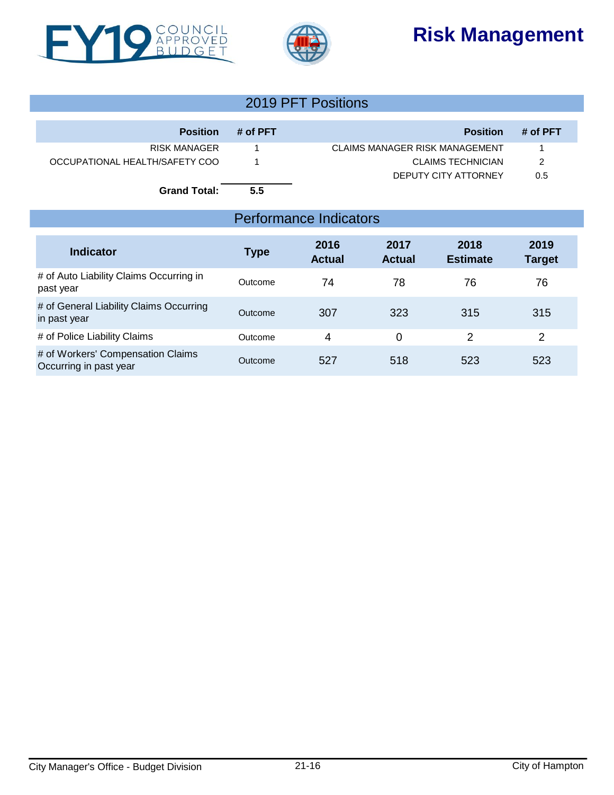





| 2019 PFT Positions             |          |                                       |          |  |  |  |
|--------------------------------|----------|---------------------------------------|----------|--|--|--|
| <b>Position</b>                | # of PFT | <b>Position</b>                       | # of PFT |  |  |  |
| RISK MANAGER                   |          | <b>CLAIMS MANAGER RISK MANAGEMENT</b> |          |  |  |  |
| OCCUPATIONAL HEALTH/SAFETY COO |          | CLAIMS TECHNICIAN                     | 2        |  |  |  |
|                                |          | DEPUTY CITY ATTORNEY                  | 0.5      |  |  |  |
| <b>Grand Total:</b>            | 5.5      |                                       |          |  |  |  |

## Performance Indicators

| <b>Indicator</b>                                            | Type    | 2016<br><b>Actual</b> | 2017<br><b>Actual</b> | 2018<br><b>Estimate</b> | 2019<br><b>Target</b> |
|-------------------------------------------------------------|---------|-----------------------|-----------------------|-------------------------|-----------------------|
| # of Auto Liability Claims Occurring in<br>past year        | Outcome | 74                    | 78                    | 76                      | 76                    |
| # of General Liability Claims Occurring<br>in past year     | Outcome | 307                   | 323                   | 315                     | 315                   |
| # of Police Liability Claims                                | Outcome | 4                     | 0                     | 2                       | 2                     |
| # of Workers' Compensation Claims<br>Occurring in past year | Outcome | 527                   | 518                   | 523                     | 523                   |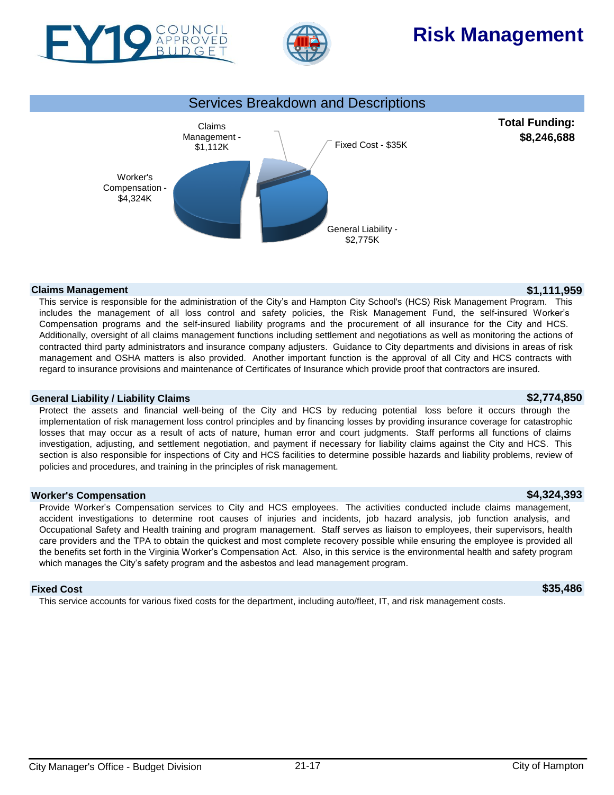



# **Risk Management**



#### **Claims Management \$1,111,959**

This service is responsible for the administration of the City's and Hampton City School's (HCS) Risk Management Program. This includes the management of all loss control and safety policies, the Risk Management Fund, the self-insured Worker's Compensation programs and the self-insured liability programs and the procurement of all insurance for the City and HCS. Additionally, oversight of all claims management functions including settlement and negotiations as well as monitoring the actions of contracted third party administrators and insurance company adjusters. Guidance to City departments and divisions in areas of risk management and OSHA matters is also provided. Another important function is the approval of all City and HCS contracts with regard to insurance provisions and maintenance of Certificates of Insurance which provide proof that contractors are insured.

#### **General Liability / Liability Claims \$2,774,850**

Protect the assets and financial well-being of the City and HCS by reducing potential loss before it occurs through the implementation of risk management loss control principles and by financing losses by providing insurance coverage for catastrophic losses that may occur as a result of acts of nature, human error and court judgments. Staff performs all functions of claims investigation, adjusting, and settlement negotiation, and payment if necessary for liability claims against the City and HCS. This section is also responsible for inspections of City and HCS facilities to determine possible hazards and liability problems, review of policies and procedures, and training in the principles of risk management.

#### **Worker's Compensation \$4,324,393**

Provide Worker's Compensation services to City and HCS employees. The activities conducted include claims management, accident investigations to determine root causes of injuries and incidents, job hazard analysis, job function analysis, and Occupational Safety and Health training and program management. Staff serves as liaison to employees, their supervisors, health care providers and the TPA to obtain the quickest and most complete recovery possible while ensuring the employee is provided all the benefits set forth in the Virginia Worker's Compensation Act. Also, in this service is the environmental health and safety program which manages the City's safety program and the asbestos and lead management program.

#### **Fixed Cost \$35,486**

This service accounts for various fixed costs for the department, including auto/fleet, IT, and risk management costs.